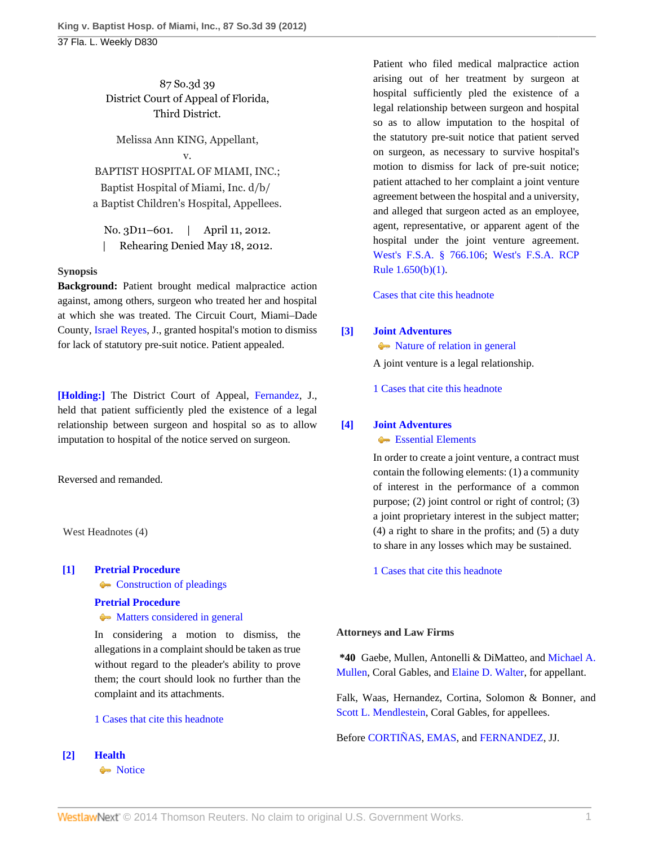87 So.3d 39 District Court of Appeal of Florida, Third District.

Melissa Ann KING, Appellant, v. BAPTIST HOSPITAL OF MIAMI, INC.; Baptist Hospital of Miami, Inc. d/b/ a Baptist Children's Hospital, Appellees.

No. 3D11–601. | April 11, 2012. | Rehearing Denied May 18, 2012.

### **Synopsis**

**Background:** Patient brought medical malpractice action against, among others, surgeon who treated her and hospital at which she was treated. The Circuit Court, Miami–Dade County, [Israel Reyes](http://www.westlaw.com/Link/Document/FullText?findType=h&pubNum=176284&cite=0261135801&originatingDoc=I8f89820b83ad11e18b1ac573b20fcfb7&refType=RQ&originationContext=document&vr=3.0&rs=cblt1.0&transitionType=DocumentItem&contextData=(sc.Default)), J., granted hospital's motion to dismiss for lack of statutory pre-suit notice. Patient appealed.

**[\[Holding:\]](#page-0-0)** The District Court of Appeal, [Fernandez](http://www.westlaw.com/Link/Document/FullText?findType=h&pubNum=176284&cite=0200310101&originatingDoc=I8f89820b83ad11e18b1ac573b20fcfb7&refType=RQ&originationContext=document&vr=3.0&rs=cblt1.0&transitionType=DocumentItem&contextData=(sc.Default)), J., held that patient sufficiently pled the existence of a legal relationship between surgeon and hospital so as to allow imputation to hospital of the notice served on surgeon.

Reversed and remanded.

West Headnotes (4)

### <span id="page-0-1"></span>**[\[1\]](#page-3-0) [Pretrial Procedure](http://www.westlaw.com/Browse/Home/KeyNumber/307A/View.html?docGuid=I8f89820b83ad11e18b1ac573b20fcfb7&originationContext=document&vr=3.0&rs=cblt1.0&transitionType=DocumentItem&contextData=(sc.Default))**

**[Construction of pleadings](http://www.westlaw.com/Browse/Home/KeyNumber/307Ak679/View.html?docGuid=I8f89820b83ad11e18b1ac573b20fcfb7&originationContext=document&vr=3.0&rs=cblt1.0&transitionType=DocumentItem&contextData=(sc.Default))** 

### **[Pretrial Procedure](http://www.westlaw.com/Browse/Home/KeyNumber/307A/View.html?docGuid=I8f89820b83ad11e18b1ac573b20fcfb7&originationContext=document&vr=3.0&rs=cblt1.0&transitionType=DocumentItem&contextData=(sc.Default))**

 $\rightarrow$  [Matters considered in general](http://www.westlaw.com/Browse/Home/KeyNumber/307Ak681/View.html?docGuid=I8f89820b83ad11e18b1ac573b20fcfb7&originationContext=document&vr=3.0&rs=cblt1.0&transitionType=DocumentItem&contextData=(sc.Default))

In considering a motion to dismiss, the allegations in a complaint should be taken as true without regard to the pleader's ability to prove them; the court should look no further than the complaint and its attachments.

#### [1 Cases that cite this headnote](http://www.westlaw.com/Link/RelatedInformation/DocHeadnoteLink?docGuid=I8f89820b83ad11e18b1ac573b20fcfb7&headnoteId=202748175400120120803110313&originationContext=document&vr=3.0&rs=cblt1.0&transitionType=CitingReferences&contextData=(sc.Default))

<span id="page-0-0"></span>**[\[2\]](#page-3-1) [Health](http://www.westlaw.com/Browse/Home/KeyNumber/198H/View.html?docGuid=I8f89820b83ad11e18b1ac573b20fcfb7&originationContext=document&vr=3.0&rs=cblt1.0&transitionType=DocumentItem&contextData=(sc.Default))**

• [Notice](http://www.westlaw.com/Browse/Home/KeyNumber/198Hk807/View.html?docGuid=I8f89820b83ad11e18b1ac573b20fcfb7&originationContext=document&vr=3.0&rs=cblt1.0&transitionType=DocumentItem&contextData=(sc.Default))

Patient who filed medical malpractice action arising out of her treatment by surgeon at hospital sufficiently pled the existence of a legal relationship between surgeon and hospital so as to allow imputation to the hospital of the statutory pre-suit notice that patient served on surgeon, as necessary to survive hospital's motion to dismiss for lack of pre-suit notice; patient attached to her complaint a joint venture agreement between the hospital and a university, and alleged that surgeon acted as an employee, agent, representative, or apparent agent of the hospital under the joint venture agreement. [West's F.S.A. § 766.106;](http://www.westlaw.com/Link/Document/FullText?findType=L&pubNum=1000006&cite=FLSTS766.106&originatingDoc=I8f89820b83ad11e18b1ac573b20fcfb7&refType=LQ&originationContext=document&vr=3.0&rs=cblt1.0&transitionType=DocumentItem&contextData=(sc.Default)) [West's F.S.A. RCP](http://www.westlaw.com/Link/Document/FullText?findType=L&pubNum=1000006&cite=FLSTRCPR1.650&originatingDoc=I8f89820b83ad11e18b1ac573b20fcfb7&refType=LQ&originationContext=document&vr=3.0&rs=cblt1.0&transitionType=DocumentItem&contextData=(sc.Default)) [Rule 1.650\(b\)\(1\).](http://www.westlaw.com/Link/Document/FullText?findType=L&pubNum=1000006&cite=FLSTRCPR1.650&originatingDoc=I8f89820b83ad11e18b1ac573b20fcfb7&refType=LQ&originationContext=document&vr=3.0&rs=cblt1.0&transitionType=DocumentItem&contextData=(sc.Default))

[Cases that cite this headnote](http://www.westlaw.com/Link/RelatedInformation/DocHeadnoteLink?docGuid=I8f89820b83ad11e18b1ac573b20fcfb7&headnoteId=202748175400220120803110313&originationContext=document&vr=3.0&rs=cblt1.0&transitionType=CitingReferences&contextData=(sc.Default))

## <span id="page-0-2"></span>**[\[3\]](#page-3-2) [Joint Adventures](http://www.westlaw.com/Browse/Home/KeyNumber/224/View.html?docGuid=I8f89820b83ad11e18b1ac573b20fcfb7&originationContext=document&vr=3.0&rs=cblt1.0&transitionType=DocumentItem&contextData=(sc.Default))**

 $\blacklozenge$  [Nature of relation in general](http://www.westlaw.com/Browse/Home/KeyNumber/224k1.1/View.html?docGuid=I8f89820b83ad11e18b1ac573b20fcfb7&originationContext=document&vr=3.0&rs=cblt1.0&transitionType=DocumentItem&contextData=(sc.Default)) A joint venture is a legal relationship.

[1 Cases that cite this headnote](http://www.westlaw.com/Link/RelatedInformation/DocHeadnoteLink?docGuid=I8f89820b83ad11e18b1ac573b20fcfb7&headnoteId=202748175400320120803110313&originationContext=document&vr=3.0&rs=cblt1.0&transitionType=CitingReferences&contextData=(sc.Default))

# <span id="page-0-3"></span>**[\[4\]](#page-3-3) [Joint Adventures](http://www.westlaw.com/Browse/Home/KeyNumber/224/View.html?docGuid=I8f89820b83ad11e18b1ac573b20fcfb7&originationContext=document&vr=3.0&rs=cblt1.0&transitionType=DocumentItem&contextData=(sc.Default))**

**[Essential Elements](http://www.westlaw.com/Browse/Home/KeyNumber/224k1.2/View.html?docGuid=I8f89820b83ad11e18b1ac573b20fcfb7&originationContext=document&vr=3.0&rs=cblt1.0&transitionType=DocumentItem&contextData=(sc.Default))** 

In order to create a joint venture, a contract must contain the following elements: (1) a community of interest in the performance of a common purpose; (2) joint control or right of control; (3) a joint proprietary interest in the subject matter; (4) a right to share in the profits; and (5) a duty to share in any losses which may be sustained.

[1 Cases that cite this headnote](http://www.westlaw.com/Link/RelatedInformation/DocHeadnoteLink?docGuid=I8f89820b83ad11e18b1ac573b20fcfb7&headnoteId=202748175400420120803110313&originationContext=document&vr=3.0&rs=cblt1.0&transitionType=CitingReferences&contextData=(sc.Default))

## **Attorneys and Law Firms**

**\*40** Gaebe, Mullen, Antonelli & DiMatteo, and [Michael A.](http://www.westlaw.com/Link/Document/FullText?findType=h&pubNum=176284&cite=0177017701&originatingDoc=I8f89820b83ad11e18b1ac573b20fcfb7&refType=RQ&originationContext=document&vr=3.0&rs=cblt1.0&transitionType=DocumentItem&contextData=(sc.Default)) [Mullen,](http://www.westlaw.com/Link/Document/FullText?findType=h&pubNum=176284&cite=0177017701&originatingDoc=I8f89820b83ad11e18b1ac573b20fcfb7&refType=RQ&originationContext=document&vr=3.0&rs=cblt1.0&transitionType=DocumentItem&contextData=(sc.Default)) Coral Gables, and [Elaine D. Walter,](http://www.westlaw.com/Link/Document/FullText?findType=h&pubNum=176284&cite=0406668101&originatingDoc=I8f89820b83ad11e18b1ac573b20fcfb7&refType=RQ&originationContext=document&vr=3.0&rs=cblt1.0&transitionType=DocumentItem&contextData=(sc.Default)) for appellant.

Falk, Waas, Hernandez, Cortina, Solomon & Bonner, and [Scott L. Mendlestein,](http://www.westlaw.com/Link/Document/FullText?findType=h&pubNum=176284&cite=0415956601&originatingDoc=I8f89820b83ad11e18b1ac573b20fcfb7&refType=RQ&originationContext=document&vr=3.0&rs=cblt1.0&transitionType=DocumentItem&contextData=(sc.Default)) Coral Gables, for appellees.

Before [CORTIÑAS,](http://www.westlaw.com/Link/Document/FullText?findType=h&pubNum=176284&cite=0343975301&originatingDoc=I8f89820b83ad11e18b1ac573b20fcfb7&refType=RQ&originationContext=document&vr=3.0&rs=cblt1.0&transitionType=DocumentItem&contextData=(sc.Default)) [EMAS](http://www.westlaw.com/Link/Document/FullText?findType=h&pubNum=176284&cite=0142005802&originatingDoc=I8f89820b83ad11e18b1ac573b20fcfb7&refType=RQ&originationContext=document&vr=3.0&rs=cblt1.0&transitionType=DocumentItem&contextData=(sc.Default)), and [FERNANDEZ,](http://www.westlaw.com/Link/Document/FullText?findType=h&pubNum=176284&cite=0200310101&originatingDoc=I8f89820b83ad11e18b1ac573b20fcfb7&refType=RQ&originationContext=document&vr=3.0&rs=cblt1.0&transitionType=DocumentItem&contextData=(sc.Default)) JJ.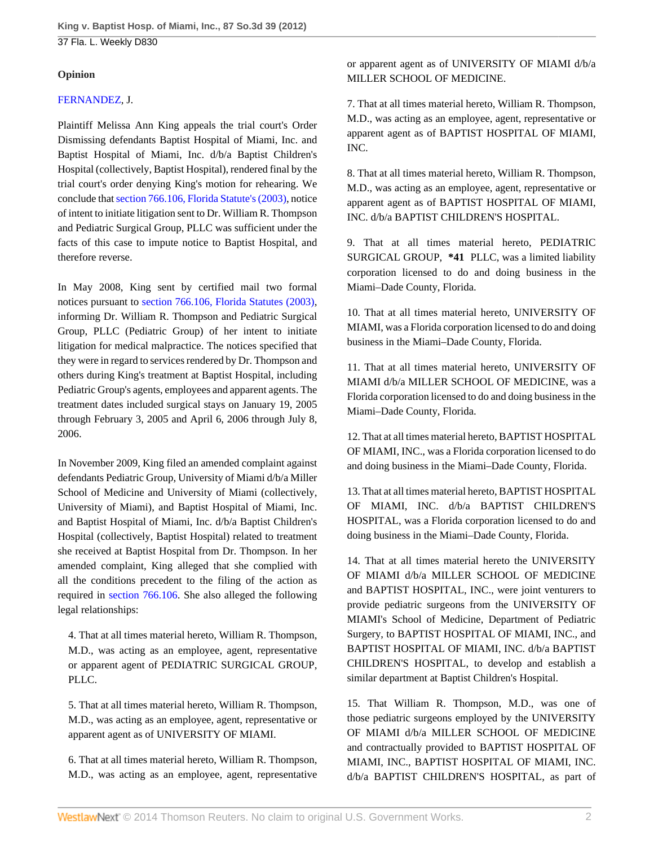### **Opinion**

### [FERNANDEZ](http://www.westlaw.com/Link/Document/FullText?findType=h&pubNum=176284&cite=0200310101&originatingDoc=I8f89820b83ad11e18b1ac573b20fcfb7&refType=RQ&originationContext=document&vr=3.0&rs=cblt1.0&transitionType=DocumentItem&contextData=(sc.Default)), J.

Plaintiff Melissa Ann King appeals the trial court's Order Dismissing defendants Baptist Hospital of Miami, Inc. and Baptist Hospital of Miami, Inc. d/b/a Baptist Children's Hospital (collectively, Baptist Hospital), rendered final by the trial court's order denying King's motion for rehearing. We conclude that [section 766.106, Florida Statute's \(2003\)](http://www.westlaw.com/Link/Document/FullText?findType=L&pubNum=1000006&cite=FLSTS766.106&originatingDoc=I8f89820b83ad11e18b1ac573b20fcfb7&refType=LQ&originationContext=document&vr=3.0&rs=cblt1.0&transitionType=DocumentItem&contextData=(sc.Default)), notice of intent to initiate litigation sent to Dr. William R. Thompson and Pediatric Surgical Group, PLLC was sufficient under the facts of this case to impute notice to Baptist Hospital, and therefore reverse.

In May 2008, King sent by certified mail two formal notices pursuant to [section 766.106, Florida Statutes \(2003\)](http://www.westlaw.com/Link/Document/FullText?findType=L&pubNum=1000006&cite=FLSTS766.106&originatingDoc=I8f89820b83ad11e18b1ac573b20fcfb7&refType=LQ&originationContext=document&vr=3.0&rs=cblt1.0&transitionType=DocumentItem&contextData=(sc.Default)), informing Dr. William R. Thompson and Pediatric Surgical Group, PLLC (Pediatric Group) of her intent to initiate litigation for medical malpractice. The notices specified that they were in regard to services rendered by Dr. Thompson and others during King's treatment at Baptist Hospital, including Pediatric Group's agents, employees and apparent agents. The treatment dates included surgical stays on January 19, 2005 through February 3, 2005 and April 6, 2006 through July 8, 2006.

In November 2009, King filed an amended complaint against defendants Pediatric Group, University of Miami d/b/a Miller School of Medicine and University of Miami (collectively, University of Miami), and Baptist Hospital of Miami, Inc. and Baptist Hospital of Miami, Inc. d/b/a Baptist Children's Hospital (collectively, Baptist Hospital) related to treatment she received at Baptist Hospital from Dr. Thompson. In her amended complaint, King alleged that she complied with all the conditions precedent to the filing of the action as required in [section 766.106](http://www.westlaw.com/Link/Document/FullText?findType=L&pubNum=1000006&cite=FLSTS766.106&originatingDoc=I8f89820b83ad11e18b1ac573b20fcfb7&refType=LQ&originationContext=document&vr=3.0&rs=cblt1.0&transitionType=DocumentItem&contextData=(sc.Default)). She also alleged the following legal relationships:

4. That at all times material hereto, William R. Thompson, M.D., was acting as an employee, agent, representative or apparent agent of PEDIATRIC SURGICAL GROUP, PLLC.

5. That at all times material hereto, William R. Thompson, M.D., was acting as an employee, agent, representative or apparent agent as of UNIVERSITY OF MIAMI.

6. That at all times material hereto, William R. Thompson, M.D., was acting as an employee, agent, representative or apparent agent as of UNIVERSITY OF MIAMI d/b/a MILLER SCHOOL OF MEDICINE.

7. That at all times material hereto, William R. Thompson, M.D., was acting as an employee, agent, representative or apparent agent as of BAPTIST HOSPITAL OF MIAMI, INC.

8. That at all times material hereto, William R. Thompson, M.D., was acting as an employee, agent, representative or apparent agent as of BAPTIST HOSPITAL OF MIAMI, INC. d/b/a BAPTIST CHILDREN'S HOSPITAL.

9. That at all times material hereto, PEDIATRIC SURGICAL GROUP, **\*41** PLLC, was a limited liability corporation licensed to do and doing business in the Miami–Dade County, Florida.

10. That at all times material hereto, UNIVERSITY OF MIAMI, was a Florida corporation licensed to do and doing business in the Miami–Dade County, Florida.

11. That at all times material hereto, UNIVERSITY OF MIAMI d/b/a MILLER SCHOOL OF MEDICINE, was a Florida corporation licensed to do and doing business in the Miami–Dade County, Florida.

12. That at all times material hereto, BAPTIST HOSPITAL OF MIAMI, INC., was a Florida corporation licensed to do and doing business in the Miami–Dade County, Florida.

13. That at all times material hereto, BAPTIST HOSPITAL OF MIAMI, INC. d/b/a BAPTIST CHILDREN'S HOSPITAL, was a Florida corporation licensed to do and doing business in the Miami–Dade County, Florida.

14. That at all times material hereto the UNIVERSITY OF MIAMI d/b/a MILLER SCHOOL OF MEDICINE and BAPTIST HOSPITAL, INC., were joint venturers to provide pediatric surgeons from the UNIVERSITY OF MIAMI's School of Medicine, Department of Pediatric Surgery, to BAPTIST HOSPITAL OF MIAMI, INC., and BAPTIST HOSPITAL OF MIAMI, INC. d/b/a BAPTIST CHILDREN'S HOSPITAL, to develop and establish a similar department at Baptist Children's Hospital.

15. That William R. Thompson, M.D., was one of those pediatric surgeons employed by the UNIVERSITY OF MIAMI d/b/a MILLER SCHOOL OF MEDICINE and contractually provided to BAPTIST HOSPITAL OF MIAMI, INC., BAPTIST HOSPITAL OF MIAMI, INC. d/b/a BAPTIST CHILDREN'S HOSPITAL, as part of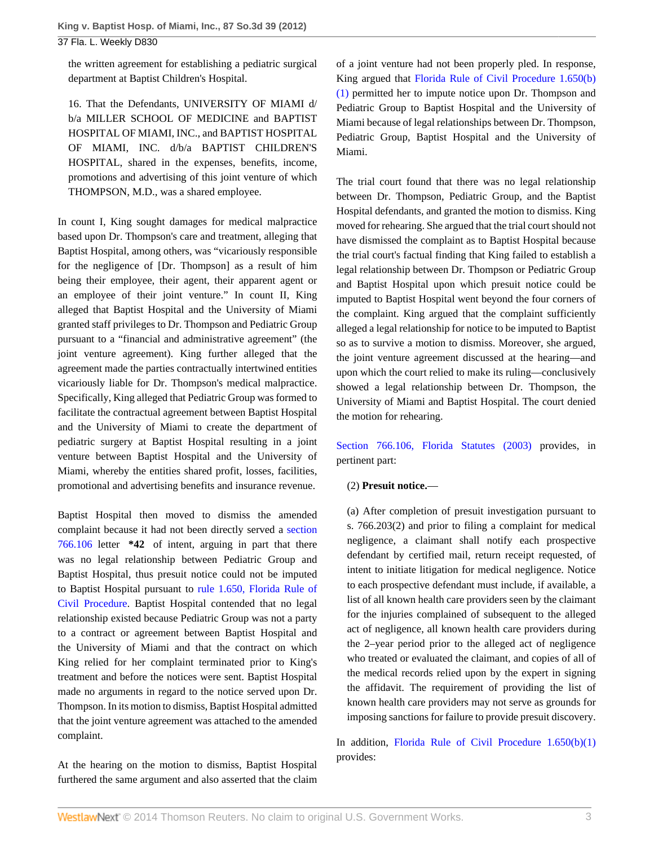37 Fla. L. Weekly D830

the written agreement for establishing a pediatric surgical department at Baptist Children's Hospital.

16. That the Defendants, UNIVERSITY OF MIAMI d/ b/a MILLER SCHOOL OF MEDICINE and BAPTIST HOSPITAL OF MIAMI, INC., and BAPTIST HOSPITAL OF MIAMI, INC. d/b/a BAPTIST CHILDREN'S HOSPITAL, shared in the expenses, benefits, income, promotions and advertising of this joint venture of which THOMPSON, M.D., was a shared employee.

In count I, King sought damages for medical malpractice based upon Dr. Thompson's care and treatment, alleging that Baptist Hospital, among others, was "vicariously responsible for the negligence of [Dr. Thompson] as a result of him being their employee, their agent, their apparent agent or an employee of their joint venture." In count II, King alleged that Baptist Hospital and the University of Miami granted staff privileges to Dr. Thompson and Pediatric Group pursuant to a "financial and administrative agreement" (the joint venture agreement). King further alleged that the agreement made the parties contractually intertwined entities vicariously liable for Dr. Thompson's medical malpractice. Specifically, King alleged that Pediatric Group was formed to facilitate the contractual agreement between Baptist Hospital and the University of Miami to create the department of pediatric surgery at Baptist Hospital resulting in a joint venture between Baptist Hospital and the University of Miami, whereby the entities shared profit, losses, facilities, promotional and advertising benefits and insurance revenue.

Baptist Hospital then moved to dismiss the amended complaint because it had not been directly served a [section](http://www.westlaw.com/Link/Document/FullText?findType=L&pubNum=1000006&cite=FLSTS766.106&originatingDoc=I8f89820b83ad11e18b1ac573b20fcfb7&refType=LQ&originationContext=document&vr=3.0&rs=cblt1.0&transitionType=DocumentItem&contextData=(sc.Default)) [766.106](http://www.westlaw.com/Link/Document/FullText?findType=L&pubNum=1000006&cite=FLSTS766.106&originatingDoc=I8f89820b83ad11e18b1ac573b20fcfb7&refType=LQ&originationContext=document&vr=3.0&rs=cblt1.0&transitionType=DocumentItem&contextData=(sc.Default)) letter **\*42** of intent, arguing in part that there was no legal relationship between Pediatric Group and Baptist Hospital, thus presuit notice could not be imputed to Baptist Hospital pursuant to [rule 1.650, Florida Rule of](http://www.westlaw.com/Link/Document/FullText?findType=L&pubNum=1000006&cite=FLSTRCPR1.650&originatingDoc=I8f89820b83ad11e18b1ac573b20fcfb7&refType=LQ&originationContext=document&vr=3.0&rs=cblt1.0&transitionType=DocumentItem&contextData=(sc.Default)) [Civil Procedure](http://www.westlaw.com/Link/Document/FullText?findType=L&pubNum=1000006&cite=FLSTRCPR1.650&originatingDoc=I8f89820b83ad11e18b1ac573b20fcfb7&refType=LQ&originationContext=document&vr=3.0&rs=cblt1.0&transitionType=DocumentItem&contextData=(sc.Default)). Baptist Hospital contended that no legal relationship existed because Pediatric Group was not a party to a contract or agreement between Baptist Hospital and the University of Miami and that the contract on which King relied for her complaint terminated prior to King's treatment and before the notices were sent. Baptist Hospital made no arguments in regard to the notice served upon Dr. Thompson. In its motion to dismiss, Baptist Hospital admitted that the joint venture agreement was attached to the amended complaint.

At the hearing on the motion to dismiss, Baptist Hospital furthered the same argument and also asserted that the claim of a joint venture had not been properly pled. In response, King argued that [Florida Rule of Civil Procedure 1.650\(b\)](http://www.westlaw.com/Link/Document/FullText?findType=L&pubNum=1000006&cite=FLSTRCPR1.650&originatingDoc=I8f89820b83ad11e18b1ac573b20fcfb7&refType=LQ&originationContext=document&vr=3.0&rs=cblt1.0&transitionType=DocumentItem&contextData=(sc.Default)) [\(1\)](http://www.westlaw.com/Link/Document/FullText?findType=L&pubNum=1000006&cite=FLSTRCPR1.650&originatingDoc=I8f89820b83ad11e18b1ac573b20fcfb7&refType=LQ&originationContext=document&vr=3.0&rs=cblt1.0&transitionType=DocumentItem&contextData=(sc.Default)) permitted her to impute notice upon Dr. Thompson and Pediatric Group to Baptist Hospital and the University of Miami because of legal relationships between Dr. Thompson, Pediatric Group, Baptist Hospital and the University of Miami.

The trial court found that there was no legal relationship between Dr. Thompson, Pediatric Group, and the Baptist Hospital defendants, and granted the motion to dismiss. King moved for rehearing. She argued that the trial court should not have dismissed the complaint as to Baptist Hospital because the trial court's factual finding that King failed to establish a legal relationship between Dr. Thompson or Pediatric Group and Baptist Hospital upon which presuit notice could be imputed to Baptist Hospital went beyond the four corners of the complaint. King argued that the complaint sufficiently alleged a legal relationship for notice to be imputed to Baptist so as to survive a motion to dismiss. Moreover, she argued, the joint venture agreement discussed at the hearing—and upon which the court relied to make its ruling—conclusively showed a legal relationship between Dr. Thompson, the University of Miami and Baptist Hospital. The court denied the motion for rehearing.

[Section 766.106, Florida Statutes \(2003\)](http://www.westlaw.com/Link/Document/FullText?findType=L&pubNum=1000006&cite=FLSTS766.106&originatingDoc=I8f89820b83ad11e18b1ac573b20fcfb7&refType=LQ&originationContext=document&vr=3.0&rs=cblt1.0&transitionType=DocumentItem&contextData=(sc.Default)) provides, in pertinent part:

### (2) **Presuit notice.**—

(a) After completion of presuit investigation pursuant to s. 766.203(2) and prior to filing a complaint for medical negligence, a claimant shall notify each prospective defendant by certified mail, return receipt requested, of intent to initiate litigation for medical negligence. Notice to each prospective defendant must include, if available, a list of all known health care providers seen by the claimant for the injuries complained of subsequent to the alleged act of negligence, all known health care providers during the 2–year period prior to the alleged act of negligence who treated or evaluated the claimant, and copies of all of the medical records relied upon by the expert in signing the affidavit. The requirement of providing the list of known health care providers may not serve as grounds for imposing sanctions for failure to provide presuit discovery.

In addition, [Florida Rule of Civil Procedure 1.650\(b\)\(1\)](http://www.westlaw.com/Link/Document/FullText?findType=L&pubNum=1000006&cite=FLSTRCPR1.650&originatingDoc=I8f89820b83ad11e18b1ac573b20fcfb7&refType=LQ&originationContext=document&vr=3.0&rs=cblt1.0&transitionType=DocumentItem&contextData=(sc.Default)) provides: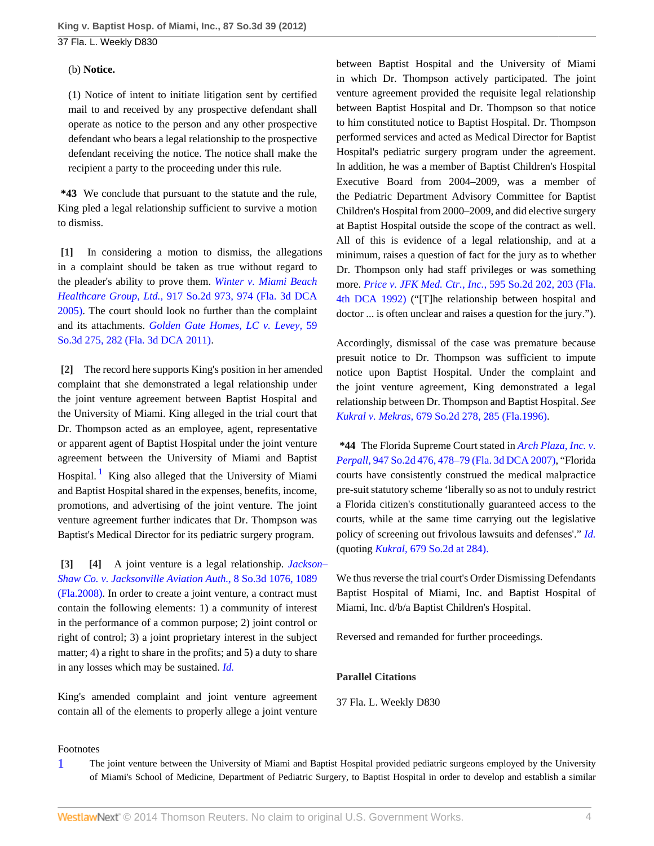**King v. Baptist Hosp. of Miami, Inc., 87 So.3d 39 (2012)** 37 Fla. L. Weekly D830

#### (b) **Notice.**

(1) Notice of intent to initiate litigation sent by certified mail to and received by any prospective defendant shall operate as notice to the person and any other prospective defendant who bears a legal relationship to the prospective defendant receiving the notice. The notice shall make the recipient a party to the proceeding under this rule.

**\*43** We conclude that pursuant to the statute and the rule, King pled a legal relationship sufficient to survive a motion to dismiss.

<span id="page-3-0"></span>**[\[1\]](#page-0-1)** In considering a motion to dismiss, the allegations in a complaint should be taken as true without regard to the pleader's ability to prove them. *[Winter v. Miami Beach](http://www.westlaw.com/Link/Document/FullText?findType=Y&serNum=2007964818&pubNum=735&fi=co_pp_sp_735_974&originationContext=document&vr=3.0&rs=cblt1.0&transitionType=DocumentItem&contextData=(sc.Default)#co_pp_sp_735_974) Healthcare Group, Ltd.,* [917 So.2d 973, 974 \(Fla. 3d DCA](http://www.westlaw.com/Link/Document/FullText?findType=Y&serNum=2007964818&pubNum=735&fi=co_pp_sp_735_974&originationContext=document&vr=3.0&rs=cblt1.0&transitionType=DocumentItem&contextData=(sc.Default)#co_pp_sp_735_974) [2005\)](http://www.westlaw.com/Link/Document/FullText?findType=Y&serNum=2007964818&pubNum=735&fi=co_pp_sp_735_974&originationContext=document&vr=3.0&rs=cblt1.0&transitionType=DocumentItem&contextData=(sc.Default)#co_pp_sp_735_974). The court should look no further than the complaint and its attachments. *[Golden Gate Homes, LC v. Levey,](http://www.westlaw.com/Link/Document/FullText?findType=Y&serNum=2025082570&pubNum=3926&fi=co_pp_sp_3926_282&originationContext=document&vr=3.0&rs=cblt1.0&transitionType=DocumentItem&contextData=(sc.Default)#co_pp_sp_3926_282)* 59 [So.3d 275, 282 \(Fla. 3d DCA 2011\).](http://www.westlaw.com/Link/Document/FullText?findType=Y&serNum=2025082570&pubNum=3926&fi=co_pp_sp_3926_282&originationContext=document&vr=3.0&rs=cblt1.0&transitionType=DocumentItem&contextData=(sc.Default)#co_pp_sp_3926_282)

<span id="page-3-1"></span>**[\[2\]](#page-0-0)** The record here supports King's position in her amended complaint that she demonstrated a legal relationship under the joint venture agreement between Baptist Hospital and the University of Miami. King alleged in the trial court that Dr. Thompson acted as an employee, agent, representative or apparent agent of Baptist Hospital under the joint venture agreement between the University of Miami and Baptist Hospital.<sup>[1](#page-3-4)</sup> King also alleged that the University of Miami and Baptist Hospital shared in the expenses, benefits, income, promotions, and advertising of the joint venture. The joint venture agreement further indicates that Dr. Thompson was Baptist's Medical Director for its pediatric surgery program.

<span id="page-3-5"></span><span id="page-3-3"></span><span id="page-3-2"></span>**[\[3\]](#page-0-2) [\[4\]](#page-0-3)** A joint venture is a legal relationship. *[Jackson–](http://www.westlaw.com/Link/Document/FullText?findType=Y&serNum=2017675850&pubNum=3926&fi=co_pp_sp_3926_1089&originationContext=document&vr=3.0&rs=cblt1.0&transitionType=DocumentItem&contextData=(sc.Default)#co_pp_sp_3926_1089) [Shaw Co. v. Jacksonville Aviation Auth.,](http://www.westlaw.com/Link/Document/FullText?findType=Y&serNum=2017675850&pubNum=3926&fi=co_pp_sp_3926_1089&originationContext=document&vr=3.0&rs=cblt1.0&transitionType=DocumentItem&contextData=(sc.Default)#co_pp_sp_3926_1089)* 8 So.3d 1076, 1089 [\(Fla.2008\).](http://www.westlaw.com/Link/Document/FullText?findType=Y&serNum=2017675850&pubNum=3926&fi=co_pp_sp_3926_1089&originationContext=document&vr=3.0&rs=cblt1.0&transitionType=DocumentItem&contextData=(sc.Default)#co_pp_sp_3926_1089) In order to create a joint venture, a contract must contain the following elements: 1) a community of interest in the performance of a common purpose; 2) joint control or right of control; 3) a joint proprietary interest in the subject matter; 4) a right to share in the profits; and 5) a duty to share in any losses which may be sustained. *[Id.](http://www.westlaw.com/Link/Document/FullText?findType=Y&serNum=2017675850&originationContext=document&vr=3.0&rs=cblt1.0&transitionType=DocumentItem&contextData=(sc.Default))*

King's amended complaint and joint venture agreement contain all of the elements to properly allege a joint venture between Baptist Hospital and the University of Miami in which Dr. Thompson actively participated. The joint venture agreement provided the requisite legal relationship between Baptist Hospital and Dr. Thompson so that notice to him constituted notice to Baptist Hospital. Dr. Thompson performed services and acted as Medical Director for Baptist Hospital's pediatric surgery program under the agreement. In addition, he was a member of Baptist Children's Hospital Executive Board from 2004–2009, was a member of the Pediatric Department Advisory Committee for Baptist Children's Hospital from 2000–2009, and did elective surgery at Baptist Hospital outside the scope of the contract as well. All of this is evidence of a legal relationship, and at a minimum, raises a question of fact for the jury as to whether Dr. Thompson only had staff privileges or was something more. *[Price v. JFK Med. Ctr., Inc.,](http://www.westlaw.com/Link/Document/FullText?findType=Y&serNum=1992047165&pubNum=735&fi=co_pp_sp_735_203&originationContext=document&vr=3.0&rs=cblt1.0&transitionType=DocumentItem&contextData=(sc.Default)#co_pp_sp_735_203)* 595 So.2d 202, 203 (Fla. [4th DCA 1992\)](http://www.westlaw.com/Link/Document/FullText?findType=Y&serNum=1992047165&pubNum=735&fi=co_pp_sp_735_203&originationContext=document&vr=3.0&rs=cblt1.0&transitionType=DocumentItem&contextData=(sc.Default)#co_pp_sp_735_203) ("[T]he relationship between hospital and doctor ... is often unclear and raises a question for the jury.").

Accordingly, dismissal of the case was premature because presuit notice to Dr. Thompson was sufficient to impute notice upon Baptist Hospital. Under the complaint and the joint venture agreement, King demonstrated a legal relationship between Dr. Thompson and Baptist Hospital. *See Kukral v. Mekras,* [679 So.2d 278, 285 \(Fla.1996\)](http://www.westlaw.com/Link/Document/FullText?findType=Y&serNum=1996134917&pubNum=735&fi=co_pp_sp_735_285&originationContext=document&vr=3.0&rs=cblt1.0&transitionType=DocumentItem&contextData=(sc.Default)#co_pp_sp_735_285).

**\*44** The Florida Supreme Court stated in *[Arch Plaza, Inc. v.](http://www.westlaw.com/Link/Document/FullText?findType=Y&serNum=2010601640&pubNum=735&fi=co_pp_sp_735_478&originationContext=document&vr=3.0&rs=cblt1.0&transitionType=DocumentItem&contextData=(sc.Default)#co_pp_sp_735_478) Perpall,* [947 So.2d 476, 478–79 \(Fla. 3d DCA 2007\)](http://www.westlaw.com/Link/Document/FullText?findType=Y&serNum=2010601640&pubNum=735&fi=co_pp_sp_735_478&originationContext=document&vr=3.0&rs=cblt1.0&transitionType=DocumentItem&contextData=(sc.Default)#co_pp_sp_735_478), "Florida courts have consistently construed the medical malpractice pre-suit statutory scheme 'liberally so as not to unduly restrict a Florida citizen's constitutionally guaranteed access to the courts, while at the same time carrying out the legislative policy of screening out frivolous lawsuits and defenses'." *[Id.](http://www.westlaw.com/Link/Document/FullText?findType=Y&serNum=2010601640&originationContext=document&vr=3.0&rs=cblt1.0&transitionType=DocumentItem&contextData=(sc.Default))* (quoting *Kukral,* [679 So.2d at 284\).](http://www.westlaw.com/Link/Document/FullText?findType=Y&serNum=1996134917&pubNum=735&fi=co_pp_sp_735_284&originationContext=document&vr=3.0&rs=cblt1.0&transitionType=DocumentItem&contextData=(sc.Default)#co_pp_sp_735_284)

We thus reverse the trial court's Order Dismissing Defendants Baptist Hospital of Miami, Inc. and Baptist Hospital of Miami, Inc. d/b/a Baptist Children's Hospital.

Reversed and remanded for further proceedings.

### **Parallel Citations**

37 Fla. L. Weekly D830

#### Footnotes

<span id="page-3-4"></span>[1](#page-3-5) The joint venture between the University of Miami and Baptist Hospital provided pediatric surgeons employed by the University of Miami's School of Medicine, Department of Pediatric Surgery, to Baptist Hospital in order to develop and establish a similar